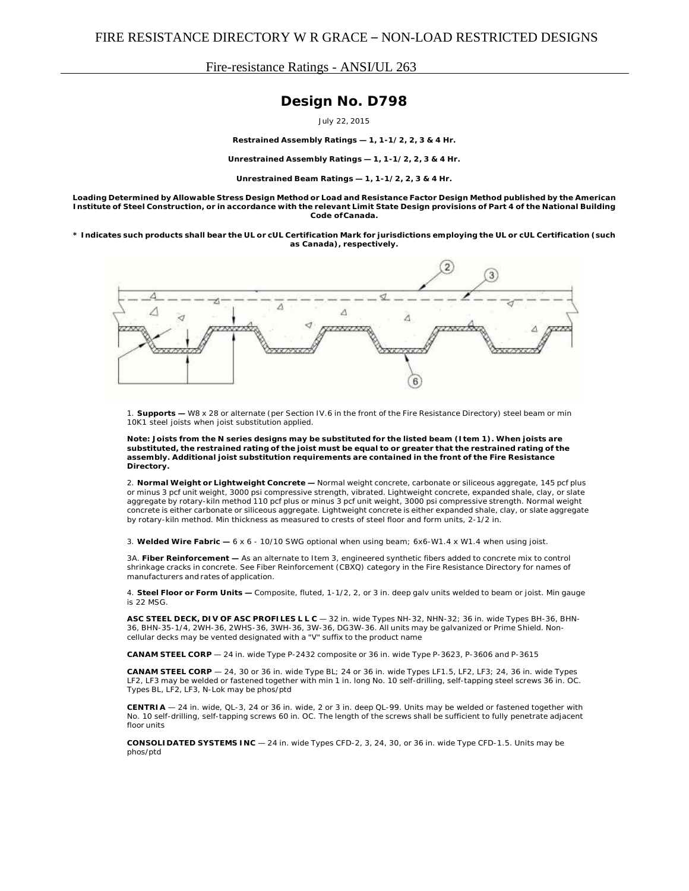## Fire-resistance Ratings - ANSI/UL 263

## **Design No. D798**

July 22, 2015

**Restrained Assembly Ratings — 1, 1-1/2, 2, 3 & 4 Hr.**

**Unrestrained Assembly Ratings — 1, 1-1/2, 2, 3 & 4 Hr.**

**Unrestrained Beam Ratings — 1, 1-1/2, 2, 3 & 4 Hr.**

Loading Determined by Allowable Stress Design Method or Load and Resistance Factor Design Method published by the American Institute of Steel Construction, or in accordance with the relevant Limit State Design provisions of Part 4 of the National Building **Code ofCanada.**

\* Indicates such products shall bear the UL or cUL Certification Mark for jurisdictions employing the UL or cUL Certification (such **as Canada), respectively.**



1. **Supports —** W8 x 28 or alternate (per Section IV.6 in the front of the Fire Resistance Directory) steel beam or min 10K1 steel joists when joist substitution applied.

Note: Joists from the N series designs may be substituted for the listed beam (Item 1). When joists are substituted, the restrained rating of the joist must be equal to or greater that the restrained rating of the **assembly. Additional joist substitution requirements are contained in the front of the Fire Resistance Directory.**

2. **Normal Weight or Lightweight Concrete —** Normal weight concrete, carbonate or siliceous aggregate, 145 pcf plus or minus 3 pcf unit weight, 3000 psi compressive strength, vibrated. Lightweight concrete, expanded shale, clay, or slate aggregate by rotary-kiln method 110 pcf plus or minus 3 pcf unit weight, 3000 psi compressive strength. Normal weight concrete is either carbonate or siliceous aggregate. Lightweight concrete is either expanded shale, clay, or slate aggregate by rotary-kiln method. Min thickness as measured to crests of steel floor and form units, 2-1/2 in.

3. **Welded Wire Fabric —** 6 x 6 - 10/10 SWG optional when using beam; 6x6-W1.4 x W1.4 when using joist.

3A. **Fiber Reinforcement —** As an alternate to Item 3, engineered synthetic fibers added to concrete mix to control shrinkage cracks in concrete. See Fiber Reinforcement (CBXQ) category in the Fire Resistance Directory for names of manufacturers and rates of application.

4. **Steel Floor or Form Units —** Composite, fluted, 1-1/2, 2, or 3 in. deep galv units welded to beam or joist. Min gauge is 22 MSG.

**ASC STEEL DECK, DIV OF ASC PROFILES L L C** — 32 in. wide Types NH-32, NHN-32; 36 in. wide Types BH-36, BHN-36, BHN-35-1/4, 2WH-36, 2WHS-36, 3WH-36, 3W-36, DG3W-36. All units may be galvanized or Prime Shield. Noncellular decks may be vented designated with a "V" suffix to the product name

**CANAM STEEL CORP** — 24 in. wide Type P-2432 composite or 36 in. wide Type P-3623, P-3606 and P-3615

**CANAM STEEL CORP** — 24, 30 or 36 in. wide Type BL; 24 or 36 in. wide Types LF1.5, LF2, LF3; 24, 36 in. wide Types LF2, LF3 may be welded or fastened together with min 1 in. long No. 10 self-drilling, self-tapping steel screws 36 in. OC. Types BL, LF2, LF3, N-Lok may be phos/ptd

**CENTRIA** — 24 in. wide, QL-3, 24 or 36 in. wide, 2 or 3 in. deep QL-99. Units may be welded or fastened together with No. 10 self-drilling, self-tapping screws 60 in. OC. The length of the screws shall be sufficient to fully penetrate adjacent floor units

**CONSOLIDATED SYSTEMS INC** — 24 in. wide Types CFD-2, 3, 24, 30, or 36 in. wide Type CFD-1.5. Units may be phos/ptd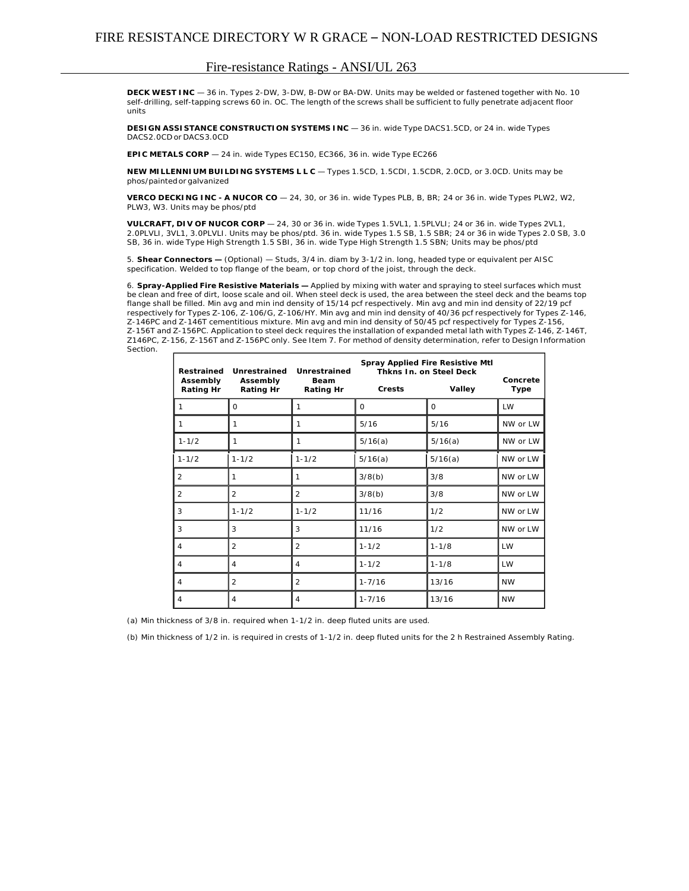## Fire-resistance Ratings - ANSI/UL 263

**DECK WEST INC** — 36 in. Types 2-DW, 3-DW, B-DW or BA-DW. Units may be welded or fastened together with No. 10 self-drilling, self-tapping screws 60 in. OC. The length of the screws shall be sufficient to fully penetrate adjacent floor units

**DESIGN ASSISTANCE CONSTRUCTION SYSTEMS INC** — 36 in. wide Type DACS1.5CD, or 24 in. wide Types DACS2.0CD or DACS3.0CD

**EPIC METALS CORP** — 24 in. wide Types EC150, EC366, 36 in. wide Type EC266

**NEW MILLENNIUM BUILDING SYSTEMS L L C** — Types 1.5CD, 1.5CDI, 1.5CDR, 2.0CD, or 3.0CD. Units may be phos/painted or galvanized

**VERCO DECKING INC - A NUCOR CO** — 24, 30, or 36 in. wide Types PLB, B, BR; 24 or 36 in. wide Types PLW2, W2, PLW3, W3. Units may be phos/ptd

**VULCRAFT, DIV OF NUCOR CORP** — 24, 30 or 36 in. wide Types 1.5VL1, 1.5PLVLI; 24 or 36 in. wide Types 2VL1, 2.0PLVLI, 3VL1, 3.0PLVLI. Units may be phos/ptd. 36 in. wide Types 1.5 SB, 1.5 SBR; 24 or 36 in wide Types 2.0 SB, 3.0 SB, 36 in. wide Type High Strength 1.5 SBI, 36 in. wide Type High Strength 1.5 SBN; Units may be phos/ptd

5. **Shear Connectors —** (Optional) — Studs, 3/4 in. diam by 3-1/2 in. long, headed type or equivalent per AISC specification. Welded to top flange of the beam, or top chord of the joist, through the deck.

6. **Spray-Applied Fire Resistive Materials —** Applied by mixing with water and spraying to steel surfaces which must be clean and free of dirt, loose scale and oil. When steel deck is used, the area between the steel deck and the beams top flange shall be filled. Min avg and min ind density of 15/14 pcf respectively. Min avg and min ind density of 22/19 pcf respectively for Types Z-106, Z-106/G, Z-106/HY. Min avg and min ind density of 40/36 pcf respectively for Types Z-146, Z-146PC and Z-146T cementitious mixture. Min avg and min ind density of 50/45 pcf respectively for Types Z-156, Z-156T and Z-156PC. Application to steel deck requires the installation of expanded metal lath with Types Z-146, Z-146T, Z146PC, Z-156, Z-156T and Z-156PC only. See Item 7. For method of density determination, refer to Design Information Section.

| Restrained                   | Unrestrained<br>Assembly<br><b>Rating Hr</b> | Unrestrained<br><b>Beam</b><br><b>Rating Hr</b> | <b>Spray Applied Fire Resistive Mtl</b><br><b>Thkns In. on Steel Deck</b> |           |                         |
|------------------------------|----------------------------------------------|-------------------------------------------------|---------------------------------------------------------------------------|-----------|-------------------------|
| Assembly<br><b>Rating Hr</b> |                                              |                                                 | <b>Crests</b>                                                             | Valley    | Concrete<br><b>Type</b> |
|                              | $\circ$                                      | 1                                               | $\circ$                                                                   | $\Omega$  | LW                      |
|                              | 1                                            | 1                                               | 5/16                                                                      | 5/16      | NW or LW                |
| $1 - 1/2$                    | 1                                            | 1                                               | 5/16(a)                                                                   | 5/16(a)   | NW or LW                |
| $1 - 1/2$                    | $1 - 1/2$                                    | $1 - 1/2$                                       | 5/16(a)                                                                   | 5/16(a)   | NW or LW                |
| 2                            | 1                                            | 1                                               | 3/8(b)                                                                    | 3/8       | NW or LW                |
| 2                            | $\overline{2}$                               | $\overline{2}$                                  | 3/8(b)                                                                    | 3/8       | NW or LW                |
| 3                            | $1 - 1/2$                                    | $1 - 1/2$                                       | 11/16                                                                     | 1/2       | NW or LW                |
| 3                            | 3                                            | 3                                               | 11/16                                                                     | 1/2       | NW or LW                |
| $\overline{4}$               | $\overline{2}$                               | 2                                               | $1 - 1/2$                                                                 | $1 - 1/8$ | <b>LW</b>               |
| 4                            | 4                                            | 4                                               | $1 - 1/2$                                                                 | $1 - 1/8$ | <b>LW</b>               |
| $\overline{4}$               | $\overline{2}$                               | $\overline{2}$                                  | $1 - 7/16$                                                                | 13/16     | <b>NW</b>               |
| $\overline{4}$               | 4                                            | 4                                               | $1 - 7/16$                                                                | 13/16     | <b>NW</b>               |

(a) Min thickness of 3/8 in. required when 1-1/2 in. deep fluted units are used.

(b) Min thickness of 1/2 in. is required in crests of 1-1/2 in. deep fluted units for the 2 h Restrained Assembly Rating.